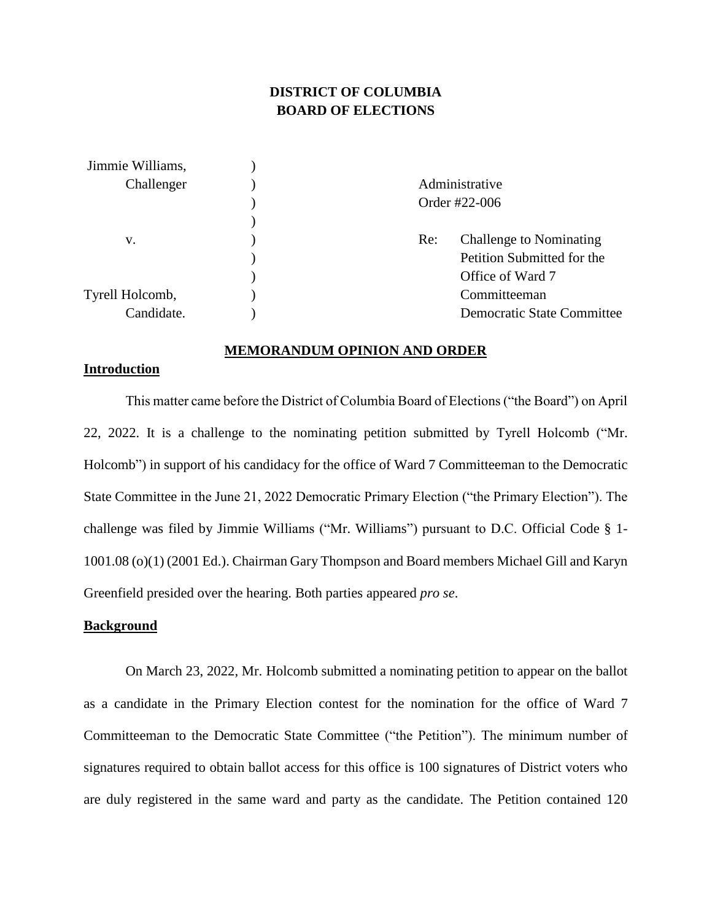# **DISTRICT OF COLUMBIA BOARD OF ELECTIONS**

| Jimmie Williams, |                                       |  |
|------------------|---------------------------------------|--|
| Challenger       | Administrative                        |  |
|                  | Order #22-006                         |  |
|                  |                                       |  |
| v.               | <b>Challenge to Nominating</b><br>Re: |  |
|                  | Petition Submitted for the            |  |
|                  | Office of Ward 7                      |  |
| Tyrell Holcomb,  | Committeeman                          |  |
| Candidate.       | <b>Democratic State Committee</b>     |  |

#### **MEMORANDUM OPINION AND ORDER**

# **Introduction**

This matter came before the District of Columbia Board of Elections ("the Board") on April 22, 2022. It is a challenge to the nominating petition submitted by Tyrell Holcomb ("Mr. Holcomb") in support of his candidacy for the office of Ward 7 Committeeman to the Democratic State Committee in the June 21, 2022 Democratic Primary Election ("the Primary Election"). The challenge was filed by Jimmie Williams ("Mr. Williams") pursuant to D.C. Official Code § 1- 1001.08 (o)(1) (2001 Ed.). Chairman Gary Thompson and Board members Michael Gill and Karyn Greenfield presided over the hearing. Both parties appeared *pro se*.

# **Background**

On March 23, 2022, Mr. Holcomb submitted a nominating petition to appear on the ballot as a candidate in the Primary Election contest for the nomination for the office of Ward 7 Committeeman to the Democratic State Committee ("the Petition"). The minimum number of signatures required to obtain ballot access for this office is 100 signatures of District voters who are duly registered in the same ward and party as the candidate. The Petition contained 120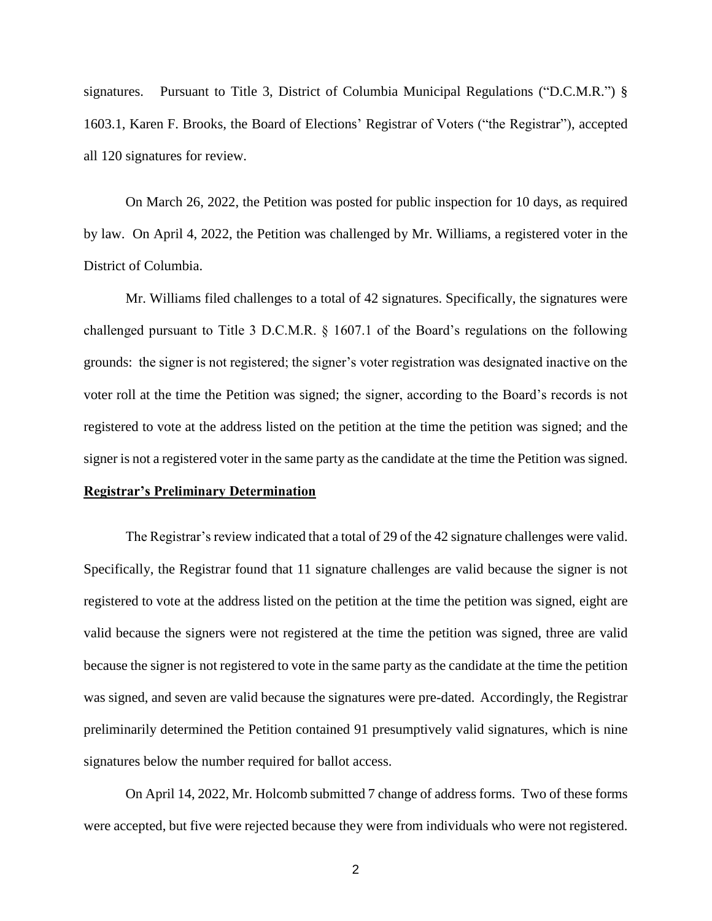signatures. Pursuant to Title 3, District of Columbia Municipal Regulations ("D.C.M.R.") § 1603.1, Karen F. Brooks, the Board of Elections' Registrar of Voters ("the Registrar"), accepted all 120 signatures for review.

On March 26, 2022, the Petition was posted for public inspection for 10 days, as required by law. On April 4, 2022, the Petition was challenged by Mr. Williams, a registered voter in the District of Columbia.

Mr. Williams filed challenges to a total of 42 signatures. Specifically, the signatures were challenged pursuant to Title 3 D.C.M.R. § 1607.1 of the Board's regulations on the following grounds: the signer is not registered; the signer's voter registration was designated inactive on the voter roll at the time the Petition was signed; the signer, according to the Board's records is not registered to vote at the address listed on the petition at the time the petition was signed; and the signer is not a registered voter in the same party as the candidate at the time the Petition was signed.

#### **Registrar's Preliminary Determination**

The Registrar's review indicated that a total of 29 of the 42 signature challenges were valid. Specifically, the Registrar found that 11 signature challenges are valid because the signer is not registered to vote at the address listed on the petition at the time the petition was signed, eight are valid because the signers were not registered at the time the petition was signed, three are valid because the signer is not registered to vote in the same party as the candidate at the time the petition was signed, and seven are valid because the signatures were pre-dated. Accordingly, the Registrar preliminarily determined the Petition contained 91 presumptively valid signatures, which is nine signatures below the number required for ballot access.

On April 14, 2022, Mr. Holcomb submitted 7 change of address forms. Two of these forms were accepted, but five were rejected because they were from individuals who were not registered.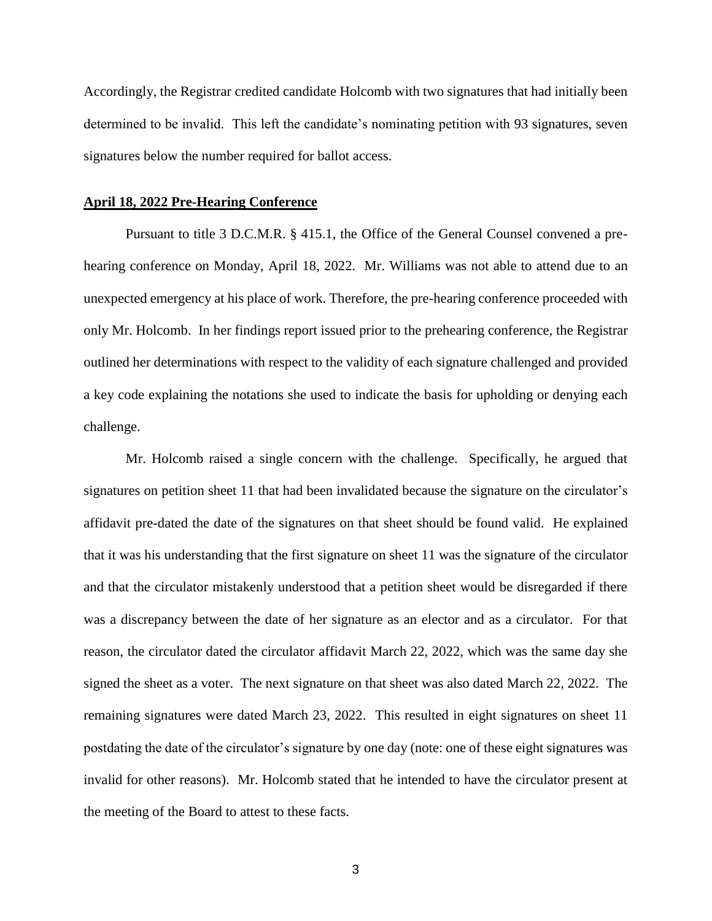Accordingly, the Registrar credited candidate Holcomb with two signatures that had initially been determined to be invalid. This left the candidate's nominating petition with 93 signatures, seven signatures below the number required for ballot access.

#### **April 18, 2022 Pre-Hearing Conference**

Pursuant to title 3 D.C.M.R. § 415.1, the Office of the General Counsel convened a prehearing conference on Monday, April 18, 2022. Mr. Williams was not able to attend due to an unexpected emergency at his place of work. Therefore, the pre-hearing conference proceeded with only Mr. Holcomb. In her findings report issued prior to the prehearing conference, the Registrar outlined her determinations with respect to the validity of each signature challenged and provided a key code explaining the notations she used to indicate the basis for upholding or denying each challenge.

Mr. Holcomb raised a single concern with the challenge. Specifically, he argued that signatures on petition sheet 11 that had been invalidated because the signature on the circulator's affidavit pre-dated the date of the signatures on that sheet should be found valid. He explained that it was his understanding that the first signature on sheet 11 was the signature of the circulator and that the circulator mistakenly understood that a petition sheet would be disregarded if there was a discrepancy between the date of her signature as an elector and as a circulator. For that reason, the circulator dated the circulator affidavit March 22, 2022, which was the same day she signed the sheet as a voter. The next signature on that sheet was also dated March 22, 2022. The remaining signatures were dated March 23, 2022. This resulted in eight signatures on sheet 11 postdating the date of the circulator's signature by one day (note: one of these eight signatures was invalid for other reasons). Mr. Holcomb stated that he intended to have the circulator present at the meeting of the Board to attest to these facts.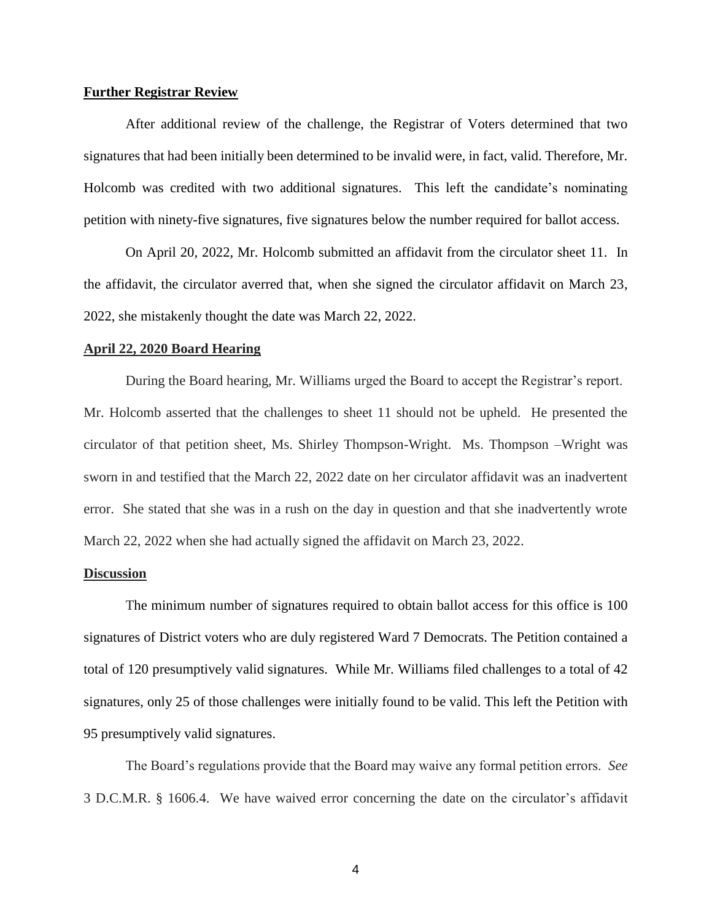### **Further Registrar Review**

After additional review of the challenge, the Registrar of Voters determined that two signatures that had been initially been determined to be invalid were, in fact, valid. Therefore, Mr. Holcomb was credited with two additional signatures. This left the candidate's nominating petition with ninety-five signatures, five signatures below the number required for ballot access.

On April 20, 2022, Mr. Holcomb submitted an affidavit from the circulator sheet 11. In the affidavit, the circulator averred that, when she signed the circulator affidavit on March 23, 2022, she mistakenly thought the date was March 22, 2022.

# **April 22, 2020 Board Hearing**

During the Board hearing, Mr. Williams urged the Board to accept the Registrar's report. Mr. Holcomb asserted that the challenges to sheet 11 should not be upheld. He presented the circulator of that petition sheet, Ms. Shirley Thompson-Wright. Ms. Thompson –Wright was sworn in and testified that the March 22, 2022 date on her circulator affidavit was an inadvertent error. She stated that she was in a rush on the day in question and that she inadvertently wrote March 22, 2022 when she had actually signed the affidavit on March 23, 2022.

# **Discussion**

The minimum number of signatures required to obtain ballot access for this office is 100 signatures of District voters who are duly registered Ward 7 Democrats. The Petition contained a total of 120 presumptively valid signatures. While Mr. Williams filed challenges to a total of 42 signatures, only 25 of those challenges were initially found to be valid. This left the Petition with 95 presumptively valid signatures.

The Board's regulations provide that the Board may waive any formal petition errors. *See* 3 D.C.M.R. § 1606.4. We have waived error concerning the date on the circulator's affidavit